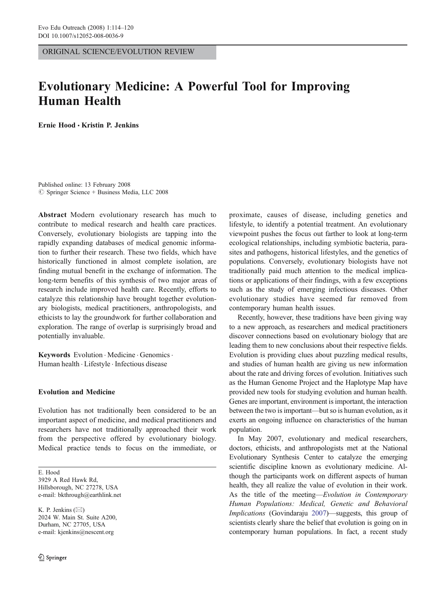ORIGINAL SCIENCE/EVOLUTION REVIEW

# Evolutionary Medicine: A Powerful Tool for Improving Human Health

Ernie Hood *&* Kristin P. Jenkins

Published online: 13 February 2008  $\oslash$  Springer Science + Business Media, LLC 2008

Abstract Modern evolutionary research has much to contribute to medical research and health care practices. Conversely, evolutionary biologists are tapping into the rapidly expanding databases of medical genomic information to further their research. These two fields, which have historically functioned in almost complete isolation, are finding mutual benefit in the exchange of information. The long-term benefits of this synthesis of two major areas of research include improved health care. Recently, efforts to catalyze this relationship have brought together evolutionary biologists, medical practitioners, anthropologists, and ethicists to lay the groundwork for further collaboration and exploration. The range of overlap is surprisingly broad and potentially invaluable.

Keywords Evolution · Medicine · Genomics · Human health . Lifestyle . Infectious disease

## Evolution and Medicine

Evolution has not traditionally been considered to be an important aspect of medicine, and medical practitioners and researchers have not traditionally approached their work from the perspective offered by evolutionary biology. Medical practice tends to focus on the immediate, or

E. Hood 3929 A Red Hawk Rd, Hillsborough, NC 27278, USA e-mail: bkthrough@earthlink.net

K. P. Jenkins  $(\boxtimes)$ 2024 W. Main St. Suite A200, Durham, NC 27705, USA e-mail: kjenkins@nescent.org

proximate, causes of disease, including genetics and lifestyle, to identify a potential treatment. An evolutionary viewpoint pushes the focus out farther to look at long-term ecological relationships, including symbiotic bacteria, parasites and pathogens, historical lifestyles, and the genetics of populations. Conversely, evolutionary biologists have not traditionally paid much attention to the medical implications or applications of their findings, with a few exceptions such as the study of emerging infectious diseases. Other evolutionary studies have seemed far removed from contemporary human health issues.

Recently, however, these traditions have been giving way to a new approach, as researchers and medical practitioners discover connections based on evolutionary biology that are leading them to new conclusions about their respective fields. Evolution is providing clues about puzzling medical results, and studies of human health are giving us new information about the rate and driving forces of evolution. Initiatives such as the Human Genome Project and the Haplotype Map have provided new tools for studying evolution and human health. Genes are important, environment is important, the interaction between the two is important—but so is human evolution, as it exerts an ongoing influence on characteristics of the human population.

In May 2007, evolutionary and medical researchers, doctors, ethicists, and anthropologists met at the National Evolutionary Synthesis Center to catalyze the emerging scientific discipline known as evolutionary medicine. Although the participants work on different aspects of human health, they all realize the value of evolution in their work. As the title of the meeting—Evolution in Contemporary Human Populations: Medical, Genetic and Behavioral Implications (Govindaraju [2007\)](#page-5-0)—suggests, this group of scientists clearly share the belief that evolution is going on in contemporary human populations. In fact, a recent study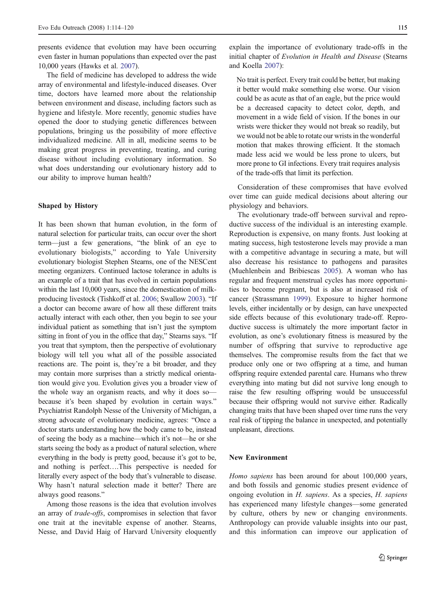presents evidence that evolution may have been occurring even faster in human populations than expected over the past 10,000 years (Hawks et al. [2007\)](#page-5-0).

The field of medicine has developed to address the wide array of environmental and lifestyle-induced diseases. Over time, doctors have learned more about the relationship between environment and disease, including factors such as hygiene and lifestyle. More recently, genomic studies have opened the door to studying genetic differences between populations, bringing us the possibility of more effective individualized medicine. All in all, medicine seems to be making great progress in preventing, treating, and curing disease without including evolutionary information. So what does understanding our evolutionary history add to our ability to improve human health?

## Shaped by History

It has been shown that human evolution, in the form of natural selection for particular traits, can occur over the short term—just a few generations, "the blink of an eye to evolutionary biologists," according to Yale University evolutionary biologist Stephen Stearns, one of the NESCent meeting organizers. Continued lactose tolerance in adults is an example of a trait that has evolved in certain populations within the last 10,000 years, since the domestication of milkproducing livestock (Tishkoff et al. [2006](#page-5-0); Swallow [2003\)](#page-5-0). "If a doctor can become aware of how all these different traits actually interact with each other, then you begin to see your individual patient as something that isn't just the symptom sitting in front of you in the office that day," Stearns says. "If you treat that symptom, then the perspective of evolutionary biology will tell you what all of the possible associated reactions are. The point is, they're a bit broader, and they may contain more surprises than a strictly medical orientation would give you. Evolution gives you a broader view of the whole way an organism reacts, and why it does so because it's been shaped by evolution in certain ways." Psychiatrist Randolph Nesse of the University of Michigan, a strong advocate of evolutionary medicine, agrees: "Once a doctor starts understanding how the body came to be, instead of seeing the body as a machine—which it's not—he or she starts seeing the body as a product of natural selection, where everything in the body is pretty good, because it's got to be, and nothing is perfect….This perspective is needed for literally every aspect of the body that's vulnerable to disease. Why hasn't natural selection made it better? There are always good reasons."

Among those reasons is the idea that evolution involves an array of trade-offs, compromises in selection that favor one trait at the inevitable expense of another. Stearns, Nesse, and David Haig of Harvard University eloquently explain the importance of evolutionary trade-offs in the initial chapter of Evolution in Health and Disease (Stearns and Koella [2007](#page-5-0)):

No trait is perfect. Every trait could be better, but making it better would make something else worse. Our vision could be as acute as that of an eagle, but the price would be a decreased capacity to detect color, depth, and movement in a wide field of vision. If the bones in our wrists were thicker they would not break so readily, but we would not be able to rotate our wrists in the wonderful motion that makes throwing efficient. It the stomach made less acid we would be less prone to ulcers, but more prone to GI infections. Every trait requires analysis of the trade-offs that limit its perfection.

Consideration of these compromises that have evolved over time can guide medical decisions about altering our physiology and behaviors.

The evolutionary trade-off between survival and reproductive success of the individual is an interesting example. Reproduction is expensive, on many fronts. Just looking at mating success, high testosterone levels may provide a man with a competitive advantage in securing a mate, but will also decrease his resistance to pathogens and parasites (Muehlenbein and Bribiescas [2005](#page-5-0)). A woman who has regular and frequent menstrual cycles has more opportunities to become pregnant, but is also at increased risk of cancer (Strassmann [1999](#page-5-0)). Exposure to higher hormone levels, either incidentally or by design, can have unexpected side effects because of this evolutionary trade-off. Reproductive success is ultimately the more important factor in evolution, as one's evolutionary fitness is measured by the number of offspring that survive to reproductive age themselves. The compromise results from the fact that we produce only one or two offspring at a time, and human offspring require extended parental care. Humans who threw everything into mating but did not survive long enough to raise the few resulting offspring would be unsuccessful because their offspring would not survive either. Radically changing traits that have been shaped over time runs the very real risk of tipping the balance in unexpected, and potentially unpleasant, directions.

## New Environment

Homo sapiens has been around for about 100,000 years, and both fossils and genomic studies present evidence of ongoing evolution in H. sapiens. As a species, H. sapiens has experienced many lifestyle changes—some generated by culture, others by new or changing environments. Anthropology can provide valuable insights into our past, and this information can improve our application of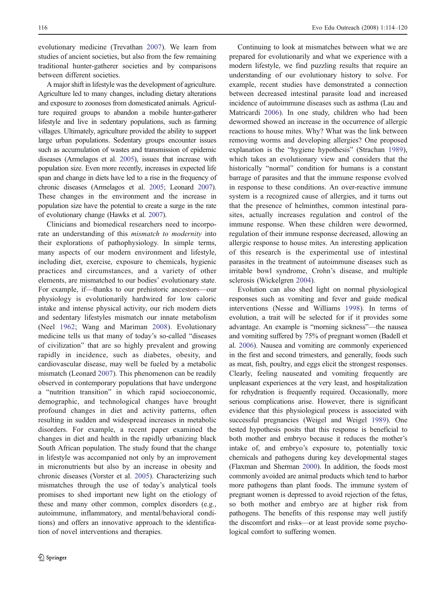evolutionary medicine (Trevathan [2007\)](#page-5-0). We learn from studies of ancient societies, but also from the few remaining traditional hunter-gatherer societies and by comparisons between different societies.

A major shift in lifestyle was the development of agriculture. Agriculture led to many changes, including dietary alterations and exposure to zoonoses from domesticated animals. Agriculture required groups to abandon a mobile hunter-gatherer lifestyle and live in sedentary populations, such as farming villages. Ultimately, agriculture provided the ability to support large urban populations. Sedentary groups encounter issues such as accumulation of wastes and transmission of epidemic diseases (Armelagos et al. [2005](#page-5-0)), issues that increase with population size. Even more recently, increases in expected life span and change in diets have led to a rise in the frequency of chronic diseases (Armelagos et al. [2005;](#page-5-0) Leonard [2007\)](#page-5-0). These changes in the environment and the increase in population size have the potential to create a surge in the rate of evolutionary change (Hawks et al. [2007](#page-5-0)).

Clinicians and biomedical researchers need to incorporate an understanding of this *mismatch to modernity* into their explorations of pathophysiology. In simple terms, many aspects of our modern environment and lifestyle, including diet, exercise, exposure to chemicals, hygienic practices and circumstances, and a variety of other elements, are mismatched to our bodies' evolutionary state. For example, if—thanks to our prehistoric ancestors—our physiology is evolutionarily hardwired for low caloric intake and intense physical activity, our rich modern diets and sedentary lifestyles mismatch our innate metabolism (Neel [1962](#page-5-0); Wang and Mariman [2008\)](#page-6-0). Evolutionary medicine tells us that many of today's so-called "diseases of civilization" that are so highly prevalent and growing rapidly in incidence, such as diabetes, obesity, and cardiovascular disease, may well be fueled by a metabolic mismatch (Leonard [2007\)](#page-5-0). This phenomenon can be readily observed in contemporary populations that have undergone a "nutrition transition" in which rapid socioeconomic, demographic, and technological changes have brought profound changes in diet and activity patterns, often resulting in sudden and widespread increases in metabolic disorders. For example, a recent paper examined the changes in diet and health in the rapidly urbanizing black South African population. The study found that the change in lifestyle was accompanied not only by an improvement in micronutrients but also by an increase in obesity and chronic diseases (Vorster et al. [2005\)](#page-5-0). Characterizing such mismatches through the use of today's analytical tools promises to shed important new light on the etiology of these and many other common, complex disorders (e.g., autoimmune, inflammatory, and mental/behavioral conditions) and offers an innovative approach to the identification of novel interventions and therapies.

Continuing to look at mismatches between what we are prepared for evolutionarily and what we experience with a modern lifestyle, we find puzzling results that require an understanding of our evolutionary history to solve. For example, recent studies have demonstrated a connection between decreased intestinal parasite load and increased incidence of autoimmune diseases such as asthma (Lau and Matricardi [2006\)](#page-5-0). In one study, children who had been dewormed showed an increase in the occurrence of allergic reactions to house mites. Why? What was the link between removing worms and developing allergies? One proposed explanation is the "hygiene hypothesis" (Strachan [1989\)](#page-5-0), which takes an evolutionary view and considers that the historically "normal" condition for humans is a constant barrage of parasites and that the immune response evolved in response to these conditions. An over-reactive immune system is a recognized cause of allergies, and it turns out that the presence of helminthes, common intestinal parasites, actually increases regulation and control of the immune response. When these children were dewormed, regulation of their immune response decreased, allowing an allergic response to house mites. An interesting application of this research is the experimental use of intestinal parasites in the treatment of autoimmune diseases such as irritable bowl syndrome, Crohn's disease, and multiple sclerosis (Wickelgren [2004\)](#page-6-0).

Evolution can also shed light on normal physiological responses such as vomiting and fever and guide medical interventions (Nesse and Williams [1998\)](#page-5-0). In terms of evolution, a trait will be selected for if it provides some advantage. An example is "morning sickness"—the nausea and vomiting suffered by 75% of pregnant women (Badell et al. [2006\)](#page-5-0). Nausea and vomiting are commonly experienced in the first and second trimesters, and generally, foods such as meat, fish, poultry, and eggs elicit the strongest responses. Clearly, feeling nauseated and vomiting frequently are unpleasant experiences at the very least, and hospitalization for rehydration is frequently required. Occasionally, more serious complications arise. However, there is significant evidence that this physiological process is associated with successful pregnancies (Weigel and Weigel [1989\)](#page-6-0). One tested hypothesis posits that this response is beneficial to both mother and embryo because it reduces the mother's intake of, and embryo's exposure to, potentially toxic chemicals and pathogens during key developmental stages (Flaxman and Sherman [2000\)](#page-5-0). In addition, the foods most commonly avoided are animal products which tend to harbor more pathogens than plant foods. The immune system of pregnant women is depressed to avoid rejection of the fetus, so both mother and embryo are at higher risk from pathogens. The benefits of this response may well justify the discomfort and risks—or at least provide some psychological comfort to suffering women.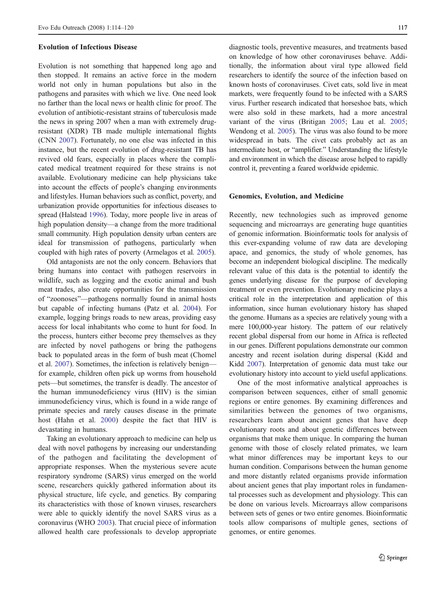#### Evolution of Infectious Disease

Evolution is not something that happened long ago and then stopped. It remains an active force in the modern world not only in human populations but also in the pathogens and parasites with which we live. One need look no farther than the local news or health clinic for proof. The evolution of antibiotic-resistant strains of tuberculosis made the news in spring 2007 when a man with extremely drugresistant (XDR) TB made multiple international flights (CNN [2007\)](#page-5-0). Fortunately, no one else was infected in this instance, but the recent evolution of drug-resistant TB has revived old fears, especially in places where the complicated medical treatment required for these strains is not available. Evolutionary medicine can help physicians take into account the effects of people's changing environments and lifestyles. Human behaviors such as conflict, poverty, and urbanization provide opportunities for infectious diseases to spread (Halstead [1996](#page-5-0)). Today, more people live in areas of high population density—a change from the more traditional small community. High population density urban centers are ideal for transmission of pathogens, particularly when coupled with high rates of poverty (Armelagos et al. [2005\)](#page-5-0).

Old antagonists are not the only concern. Behaviors that bring humans into contact with pathogen reservoirs in wildlife, such as logging and the exotic animal and bush meat trades, also create opportunities for the transmission of "zoonoses"—pathogens normally found in animal hosts but capable of infecting humans (Patz et al. [2004\)](#page-5-0). For example, logging brings roads to new areas, providing easy access for local inhabitants who come to hunt for food. In the process, hunters either become prey themselves as they are infected by novel pathogens or bring the pathogens back to populated areas in the form of bush meat (Chomel et al. [2007](#page-5-0)). Sometimes, the infection is relatively benign for example, children often pick up worms from household pets—but sometimes, the transfer is deadly. The ancestor of the human immunodeficiency virus (HIV) is the simian immunodeficiency virus, which is found in a wide range of primate species and rarely causes disease in the primate host (Hahn et al. [2000\)](#page-5-0) despite the fact that HIV is devastating in humans.

Taking an evolutionary approach to medicine can help us deal with novel pathogens by increasing our understanding of the pathogen and facilitating the development of appropriate responses. When the mysterious severe acute respiratory syndrome (SARS) virus emerged on the world scene, researchers quickly gathered information about its physical structure, life cycle, and genetics. By comparing its characteristics with those of known viruses, researchers were able to quickly identify the novel SARS virus as a coronavirus (WHO [2003\)](#page-6-0). That crucial piece of information allowed health care professionals to develop appropriate

diagnostic tools, preventive measures, and treatments based on knowledge of how other coronaviruses behave. Additionally, the information about viral type allowed field researchers to identify the source of the infection based on known hosts of coronaviruses. Civet cats, sold live in meat markets, were frequently found to be infected with a SARS virus. Further research indicated that horseshoe bats, which were also sold in these markets, had a more ancestral variant of the virus (Britigan [2005](#page-5-0); Lau et al. [2005;](#page-5-0) Wendong et al. [2005\)](#page-6-0). The virus was also found to be more widespread in bats. The civet cats probably act as an intermediate host, or "amplifier." Understanding the lifestyle and environment in which the disease arose helped to rapidly control it, preventing a feared worldwide epidemic.

## Genomics, Evolution, and Medicine

Recently, new technologies such as improved genome sequencing and microarrays are generating huge quantities of genomic information. Bioinformatic tools for analysis of this ever-expanding volume of raw data are developing apace, and genomics, the study of whole genomes, has become an independent biological discipline. The medically relevant value of this data is the potential to identify the genes underlying disease for the purpose of developing treatment or even prevention. Evolutionary medicine plays a critical role in the interpretation and application of this information, since human evolutionary history has shaped the genome. Humans as a species are relatively young with a mere 100,000-year history. The pattern of our relatively recent global dispersal from our home in Africa is reflected in our genes. Different populations demonstrate our common ancestry and recent isolation during dispersal (Kidd and Kidd [2007\)](#page-5-0). Interpretation of genomic data must take our evolutionary history into account to yield useful applications.

One of the most informative analytical approaches is comparison between sequences, either of small genomic regions or entire genomes. By examining differences and similarities between the genomes of two organisms, researchers learn about ancient genes that have deep evolutionary roots and about genetic differences between organisms that make them unique. In comparing the human genome with those of closely related primates, we learn what minor differences may be important keys to our human condition. Comparisons between the human genome and more distantly related organisms provide information about ancient genes that play important roles in fundamental processes such as development and physiology. This can be done on various levels. Microarrays allow comparisons between sets of genes or two entire genomes. Bioinformatic tools allow comparisons of multiple genes, sections of genomes, or entire genomes.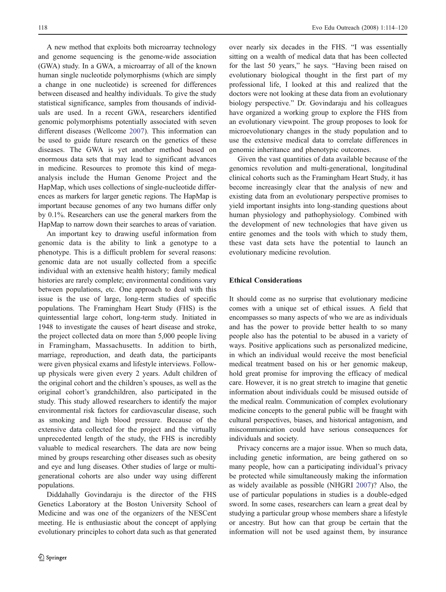A new method that exploits both microarray technology and genome sequencing is the genome-wide association (GWA) study. In a GWA, a microarray of all of the known human single nucleotide polymorphisms (which are simply a change in one nucleotide) is screened for differences between diseased and healthy individuals. To give the study statistical significance, samples from thousands of individuals are used. In a recent GWA, researchers identified genomic polymorphisms potentially associated with seven different diseases (Wellcome [2007\)](#page-6-0). This information can be used to guide future research on the genetics of these diseases. The GWA is yet another method based on enormous data sets that may lead to significant advances in medicine. Resources to promote this kind of megaanalysis include the Human Genome Project and the HapMap, which uses collections of single-nucleotide differences as markers for larger genetic regions. The HapMap is important because genomes of any two humans differ only by 0.1%. Researchers can use the general markers from the HapMap to narrow down their searches to areas of variation.

An important key to drawing useful information from genomic data is the ability to link a genotype to a phenotype. This is a difficult problem for several reasons: genomic data are not usually collected from a specific individual with an extensive health history; family medical histories are rarely complete; environmental conditions vary between populations, etc. One approach to deal with this issue is the use of large, long-term studies of specific populations. The Framingham Heart Study (FHS) is the quintessential large cohort, long-term study. Initiated in 1948 to investigate the causes of heart disease and stroke, the project collected data on more than 5,000 people living in Framingham, Massachusetts. In addition to birth, marriage, reproduction, and death data, the participants were given physical exams and lifestyle interviews. Followup physicals were given every 2 years. Adult children of the original cohort and the children's spouses, as well as the original cohort's grandchildren, also participated in the study. This study allowed researchers to identify the major environmental risk factors for cardiovascular disease, such as smoking and high blood pressure. Because of the extensive data collected for the project and the virtually unprecedented length of the study, the FHS is incredibly valuable to medical researchers. The data are now being mined by groups researching other diseases such as obesity and eye and lung diseases. Other studies of large or multigenerational cohorts are also under way using different populations.

Diddahally Govindaraju is the director of the FHS Genetics Laboratory at the Boston University School of Medicine and was one of the organizers of the NESCent meeting. He is enthusiastic about the concept of applying evolutionary principles to cohort data such as that generated

over nearly six decades in the FHS. "I was essentially sitting on a wealth of medical data that has been collected for the last 50 years," he says. "Having been raised on evolutionary biological thought in the first part of my professional life, I looked at this and realized that the doctors were not looking at these data from an evolutionary biology perspective." Dr. Govindaraju and his colleagues have organized a working group to explore the FHS from an evolutionary viewpoint. The group proposes to look for microevolutionary changes in the study population and to use the extensive medical data to correlate differences in genomic inheritance and phenotypic outcomes.

Given the vast quantities of data available because of the genomics revolution and multi-generational, longitudinal clinical cohorts such as the Framingham Heart Study, it has become increasingly clear that the analysis of new and existing data from an evolutionary perspective promises to yield important insights into long-standing questions about human physiology and pathophysiology. Combined with the development of new technologies that have given us entire genomes and the tools with which to study them, these vast data sets have the potential to launch an evolutionary medicine revolution.

## Ethical Considerations

It should come as no surprise that evolutionary medicine comes with a unique set of ethical issues. A field that encompasses so many aspects of who we are as individuals and has the power to provide better health to so many people also has the potential to be abused in a variety of ways. Positive applications such as personalized medicine, in which an individual would receive the most beneficial medical treatment based on his or her genomic makeup, hold great promise for improving the efficacy of medical care. However, it is no great stretch to imagine that genetic information about individuals could be misused outside of the medical realm. Communication of complex evolutionary medicine concepts to the general public will be fraught with cultural perspectives, biases, and historical antagonism, and miscommunication could have serious consequences for individuals and society.

Privacy concerns are a major issue. When so much data, including genetic information, are being gathered on so many people, how can a participating individual's privacy be protected while simultaneously making the information as widely available as possible (NHGRI [2007\)](#page-5-0)? Also, the use of particular populations in studies is a double-edged sword. In some cases, researchers can learn a great deal by studying a particular group whose members share a lifestyle or ancestry. But how can that group be certain that the information will not be used against them, by insurance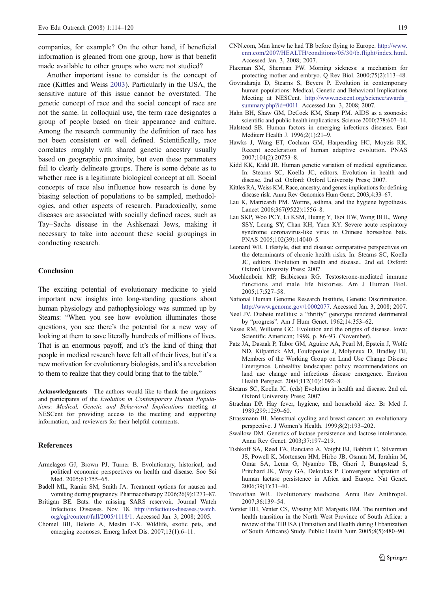<span id="page-5-0"></span>companies, for example? On the other hand, if beneficial information is gleaned from one group, how is that benefit made available to other groups who were not studied?

Another important issue to consider is the concept of race (Kittles and Weiss 2003). Particularly in the USA, the sensitive nature of this issue cannot be overstated. The genetic concept of race and the social concept of race are not the same. In colloquial use, the term race designates a group of people based on their appearance and culture. Among the research community the definition of race has not been consistent or well defined. Scientifically, race correlates roughly with shared genetic ancestry usually based on geographic proximity, but even these parameters fail to clearly delineate groups. There is some debate as to whether race is a legitimate biological concept at all. Social concepts of race also influence how research is done by biasing selection of populations to be sampled, methodologies, and other aspects of research. Paradoxically, some diseases are associated with socially defined races, such as Tay–Sachs disease in the Ashkenazi Jews, making it necessary to take into account these social groupings in conducting research.

## Conclusion

The exciting potential of evolutionary medicine to yield important new insights into long-standing questions about human physiology and pathophysiology was summed up by Stearns: "When you see how evolution illuminates those questions, you see there's the potential for a new way of looking at them to save literally hundreds of millions of lives. That is an enormous payoff, and it's the kind of thing that people in medical research have felt all of their lives, but it's a new motivation for evolutionary biologists, and it's a revelation to them to realize that they could bring that to the table."

Acknowledgments The authors would like to thank the organizers and participants of the Evolution in Contemporary Human Populations: Medical, Genetic and Behavioral Implications meeting at NESCent for providing access to the meeting and supporting information, and reviewers for their helpful comments.

### References

- Armelagos GJ, Brown PJ, Turner B. Evolutionary, historical, and political economic perspectives on health and disease. Soc Sci Med. 2005;61:755–65.
- Badell ML, Ramin SM, Smith JA. Treatment options for nausea and vomiting during pregnancy. Pharmacotherapy 2006;26(9):1273–87.
- Britigan BE. Bats: the missing SARS reservoir. Journal Watch Infectious Diseases. Nov. 18. [http://infectious-diseases.jwatch.](http://infectious-diseases.jwatch.org/cgi/content/full/2005/1118/1) [org/cgi/content/full/2005/1118/1.](http://infectious-diseases.jwatch.org/cgi/content/full/2005/1118/1) Accessed Jan. 3, 2008; 2005.
- Chomel BB, Belotto A, Meslin F-X. Wildlife, exotic pets, and emerging zoonoses. Emerg Infect Dis. 2007;13(1):6-11.
- CNN.com, Man knew he had TB before flying to Europe. [http://www.](http://www.cnn.com/2007/HEALTH/conditions/05/30/tb.flight/index.html) [cnn.com/2007/HEALTH/conditions/05/30/tb.flight/index.html](http://www.cnn.com/2007/HEALTH/conditions/05/30/tb.flight/index.html). Accessed Jan. 3, 2008; 2007.
- Flaxman SM, Sherman PW. Morning sickness: a mechanism for protecting mother and embryo. Q Rev Biol. 2000;75(2):113–48.
- Govindaraju D, Stearns S, Beyers P. Evolution in contemporary human populations: Medical, Genetic and Behavioral Implications Meeting at NESCent. [http://www.nescent.org/science/awards\\_](http://www.nescent.org/science/awards_summary.php?id=0011) [summary.php?id=0011](http://www.nescent.org/science/awards_summary.php?id=0011). Accessed Jan. 3, 2008; 2007.
- Hahn BH, Shaw GM, DeCock KM, Sharp PM. AIDS as a zoonosis: scientific and public health implications. Science 2000;278:607–14.
- Halstead SB. Human factors in emerging infectious diseases. East Mediterr Health J. 1996;2(1):21–9.
- Hawks J, Wang ET, Cochran GM, Harpending HC, Moyzis RK. Recent acceleration of human adaptive evolution. PNAS 2007;104(2):20753–8.
- Kidd KK, Kidd JR. Human genetic variation of medical significance. In: Stearns SC, Koella JC, editors. Evolution in health and disease. 2nd ed. Oxford: Oxford University Press; 2007.
- Kittles RA, Weiss KM. Race, ancestry, and genes: implications for defining disease risk. Annu Rev Genomics Hum Genet. 2003;4:33–67.
- Lau K, Matricardi PM. Worms, asthma, and the hygiene hypothesis. Lancet 2006;367(9522):1556–8.
- Lau SKP, Woo PCY, Li KSM, Huang Y, Tsoi HW, Wong BHL, Wong SSY, Leung SY, Chan KH, Yuen KY. Severe acute respiratory syndrome coronavirus-like virus in Chinese horseshoe bats. PNAS 2005;102(39):14040–5.
- Leonard WR. Lifestyle, diet and disease: comparative perspectives on the determinants of chronic health risks. In: Stearns SC, Koella JC, editors. Evolution in health and disease.. 2nd ed. Oxford: Oxford University Press; 2007.
- Muehlenbein MP, Bribiescas RG. Testosterone-mediated immune functions and male life histories. Am J Human Biol. 2005;17:527–58.
- National Human Genome Research Institute, Genetic Discrimination. [http://www.genome.gov/10002077.](http://www.genome.gov/10002077) Accessed Jan. 3, 2008; 2007.
- Neel JV. Diabete mellitus: a "thrifty" genotype rendered detrimental by "progress". Am J Hum Genet. 1962;14:353–62.
- Nesse RM, Williams GC. Evolution and the origins of disease. Iowa: Scientific American; 1998, p. 86–93. (November).
- Patz JA, Daszak P, Tabor GM, Aguirre AA, Pearl M, Epstein J, Wolfe ND, Kilpatrick AM, Foufopoulos J, Molyneux D, Bradley DJ, Members of the Working Group on Land Use Change Disease Emergence. Unhealthy landscapes: policy recommendations on land use change and infectious disease emergence. Environ Health Perspect. 2004;112(10):1092–8.
- Stearns SC, Koella JC. (eds) Evolution in health and disease. 2nd ed. Oxford University Press; 2007.
- Strachan DP. Hay fever, hygiene, and household size. Br Med J. 1989;299:1259–60.
- Strassmann BI. Menstrual cycling and breast cancer: an evolutionary perspective. J Women's Health. 1999;8(2):193–202.
- Swallow DM. Genetics of lactase persistence and lactose intolerance. Annu Rev Genet. 2003;37:197–219.
- Tishkoff SA, Reed FA, Ranciaro A, Voight BJ, Babbitt C, Silverman JS, Powell K, Mortensen HM, Hirbo JB, Osman M, Ibrahim M, Omar SA, Lema G, Nyambo TB, Ghori J, Bumpstead S, Pritchard JK, Wray GA, Deloukas P. Convergent adaptation of human lactase persistence in Africa and Europe. Nat Genet. 2006;39(1):31–40.
- Trevathan WR. Evolutionary medicine. Annu Rev Anthropol. 2007;36:139–54.
- Vorster HH, Venter CS, Wissing MP, Margetts BM. The nutrition and health transition in the North West Province of South Africa: a review of the THUSA (Transition and Health during Urbanization of South Africans) Study. Public Health Nutr. 2005;8(5):480–90.